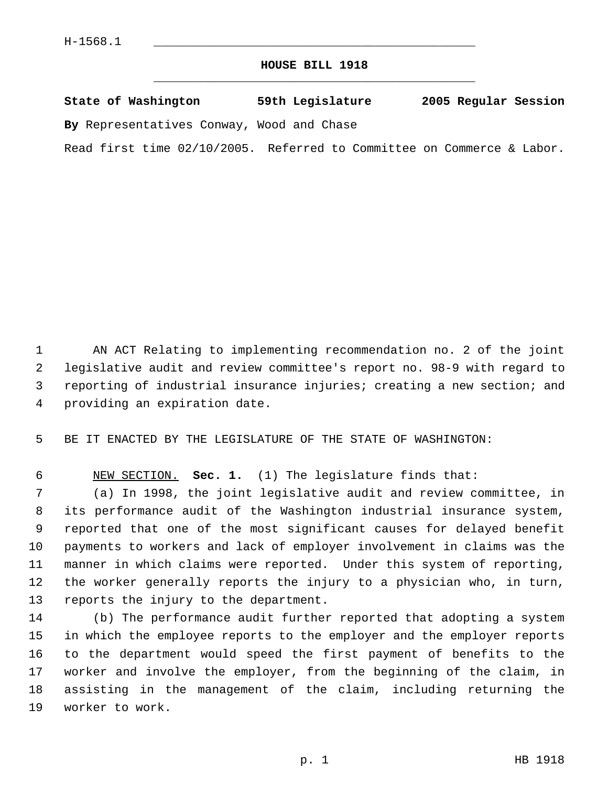## **HOUSE BILL 1918** \_\_\_\_\_\_\_\_\_\_\_\_\_\_\_\_\_\_\_\_\_\_\_\_\_\_\_\_\_\_\_\_\_\_\_\_\_\_\_\_\_\_\_\_\_

| State of Washington                       | 59th Legislature | 2005 Regular Session |  |
|-------------------------------------------|------------------|----------------------|--|
| By Representatives Conway, Wood and Chase |                  |                      |  |

Read first time 02/10/2005. Referred to Committee on Commerce & Labor.

 AN ACT Relating to implementing recommendation no. 2 of the joint legislative audit and review committee's report no. 98-9 with regard to reporting of industrial insurance injuries; creating a new section; and providing an expiration date.

BE IT ENACTED BY THE LEGISLATURE OF THE STATE OF WASHINGTON:

NEW SECTION. **Sec. 1.** (1) The legislature finds that:

 (a) In 1998, the joint legislative audit and review committee, in its performance audit of the Washington industrial insurance system, reported that one of the most significant causes for delayed benefit payments to workers and lack of employer involvement in claims was the manner in which claims were reported. Under this system of reporting, the worker generally reports the injury to a physician who, in turn, reports the injury to the department.

 (b) The performance audit further reported that adopting a system in which the employee reports to the employer and the employer reports to the department would speed the first payment of benefits to the worker and involve the employer, from the beginning of the claim, in assisting in the management of the claim, including returning the worker to work.